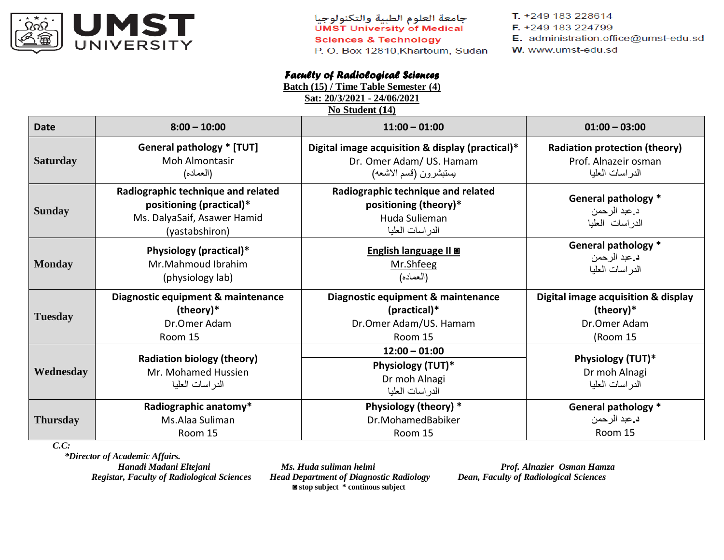

جامعة العلوم الطبية والتكنولوجيا **UMST University of Medical Sciences & Technology** P.O. Box 12810, Khartoum, Sudan T. +249 183 228614

- F. +249 183 224799
- E. administration.office@umst-edu.sd
- W. www.umst-edu.sd

## *Faculty of Radiological Sciences*

**Batch (15) / Time Table Semester (4)** 

**Sat: 20/3/2021 - 24/06/2021**

| No Student (14) |  |
|-----------------|--|
|-----------------|--|

| <b>Date</b>     | $8:00 - 10:00$                                                                                                  | $11:00 - 01:00$                                                                                 | $01:00 - 03:00$                                        |
|-----------------|-----------------------------------------------------------------------------------------------------------------|-------------------------------------------------------------------------------------------------|--------------------------------------------------------|
| <b>Saturday</b> | <b>General pathology * [TUT]</b>                                                                                | Digital image acquisition & display (practical)*                                                | <b>Radiation protection (theory)</b>                   |
|                 | <b>Moh Almontasir</b>                                                                                           | Dr. Omer Adam/ US. Hamam                                                                        | Prof. Alnazeir osman                                   |
|                 | (العماده)                                                                                                       | يستبشرون (قسم الاشعه)                                                                           | الدر اسات العليا                                       |
| <b>Sunday</b>   | Radiographic technique and related<br>positioning (practical)*<br>Ms. DalyaSaif, Asawer Hamid<br>(yastabshiron) | Radiographic technique and related<br>positioning (theory)*<br>Huda Sulieman<br>الدراسات العليا | General pathology *<br>د عبد الرحمن<br>الدراسات العليا |
| <b>Monday</b>   | Physiology (practical)*                                                                                         | English language II @                                                                           | <b>General pathology *</b>                             |
|                 | Mr.Mahmoud Ibrahim                                                                                              | Mr.Shfeeg                                                                                       | د عبد الرحمن                                           |
|                 | (physiology lab)                                                                                                | (العماده)                                                                                       | الدر اسات العليا                                       |
| <b>Tuesday</b>  | Diagnostic equipment & maintenance                                                                              | Diagnostic equipment & maintenance                                                              | <b>Digital image acquisition &amp; display</b>         |
|                 | (theory)*                                                                                                       | $(p^\text{ractical})^*$                                                                         | (theory)*                                              |
|                 | Dr.Omer Adam                                                                                                    | Dr.Omer Adam/US. Hamam                                                                          | Dr.Omer Adam                                           |
|                 | Room 15                                                                                                         | Room 15                                                                                         | (Room 15                                               |
| Wednesday       | <b>Radiation biology (theory)</b><br>Mr. Mohamed Hussien<br>الدر اسات العليا                                    | $12:00 - 01:00$<br>Physiology (TUT)*<br>Dr moh Alnagi<br>الدر اسات العليا                       | Physiology (TUT)*<br>Dr moh Alnagi<br>الدر اسات العليا |
| <b>Thursday</b> | Radiographic anatomy*                                                                                           | Physiology (theory) *                                                                           | <b>General pathology *</b>                             |
|                 | Ms.Alaa Suliman                                                                                                 | Dr.MohamedBabiker                                                                               | د عبد الرحمن                                           |
|                 | Room 15                                                                                                         | Room 15                                                                                         | Room 15                                                |

*C.C:*

 *\*Director of Academic Affairs. Hanadi Madani Eltejani Ms. Huda suliman helmi Prof. Alnazier Osman Hamza*<br>Registar, Faculty of Radiological Sciences *Head Department of Diagnostic Radiology Dean, Faculty of Radiological Sciences* 

*Head Department of Diagnostic Radiology* **◙ stop subject \* continous subject**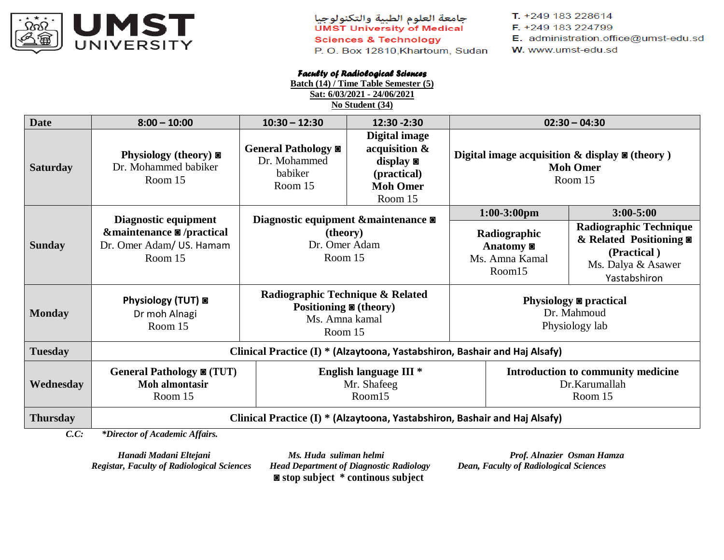

جامعة العلوم الطبية والتكنولوجيا<br>UMST University of Medical **Sciences & Technology** P.O. Box 12810, Khartoum, Sudan T. +249 183 228614

- F. +249 183 224799
- E. administration.office@umst-edu.sd
- W. www.umst-edu.sd

## *Faculty of Radiological Sciences*

**Batch (14) / Time Table Semester (5) Sat: 6/03/2021 - 24/06/2021**

**No Student (34)**

| <b>Date</b>     | $8:00 - 10:00$                                                             | $10:30 - 12:30$                                                                                      | 12:30 - 2:30                                                                           |                                                                  | $02:30 - 04:30$                                                                                             |
|-----------------|----------------------------------------------------------------------------|------------------------------------------------------------------------------------------------------|----------------------------------------------------------------------------------------|------------------------------------------------------------------|-------------------------------------------------------------------------------------------------------------|
| <b>Saturday</b> | Physiology (theory) $\blacksquare$<br>Dr. Mohammed babiker<br>Room 15      | General Pathology $\blacksquare$<br>Dr. Mohammed<br>babiker<br>Room 15                               | Digital image<br>acquisition &<br>display<br>(practical)<br><b>Moh Omer</b><br>Room 15 | Digital image acquisition $\&$ display $\&$ (theory)             | <b>Moh Omer</b><br>Room 15                                                                                  |
|                 | Diagnostic equipment                                                       |                                                                                                      |                                                                                        | $1:00-3:00$ pm                                                   | $3:00 - 5:00$                                                                                               |
| <b>Sunday</b>   | &maintenance ■ /practical<br>Dr. Omer Adam/ US. Hamam<br>Room 15           | Diagnostic equipment &maintenance<br>(theory)<br>Dr. Omer Adam<br>Room 15                            |                                                                                        | Radiographic<br>Anatomy <sup>o</sup><br>Ms. Amna Kamal<br>Room15 | <b>Radiographic Technique</b><br>& Related Positioning<br>(Practical)<br>Ms. Dalya & Asawer<br>Yastabshiron |
| <b>Monday</b>   | Physiology (TUT) a<br>Dr moh Alnagi<br>Room 15                             | Radiographic Technique & Related<br>Positioning $\blacksquare$ (theory)<br>Ms. Amna kamal<br>Room 15 |                                                                                        | Physiology ■ practical<br>Dr. Mahmoud<br>Physiology lab          |                                                                                                             |
| <b>Tuesday</b>  | Clinical Practice (I) * (Alzaytoona, Yastabshiron, Bashair and Haj Alsafy) |                                                                                                      |                                                                                        |                                                                  |                                                                                                             |
| Wednesday       | General Pathology $\bullet$ (TUT)<br>Moh almontasir<br>Room 15             |                                                                                                      | English language III <sup>*</sup><br>Mr. Shafeeg<br>Room15                             |                                                                  | Introduction to community medicine<br>Dr.Karumallah<br>Room 15                                              |
| <b>Thursday</b> | Clinical Practice (I) * (Alzaytoona, Yastabshiron, Bashair and Haj Alsafy) |                                                                                                      |                                                                                        |                                                                  |                                                                                                             |
| C.C.            | *Director of Academic Affairs.                                             |                                                                                                      |                                                                                        |                                                                  |                                                                                                             |

*Registar, Faculty of Radiological Sciences Head Department of Diagnostic Radiology Dean, Faculty of Radiological Sciences* **◙ stop subject \* continous subject**

 *Hanadi Madani Eltejani Ms. Huda suliman helmi Prof. Alnazier Osman Hamza*